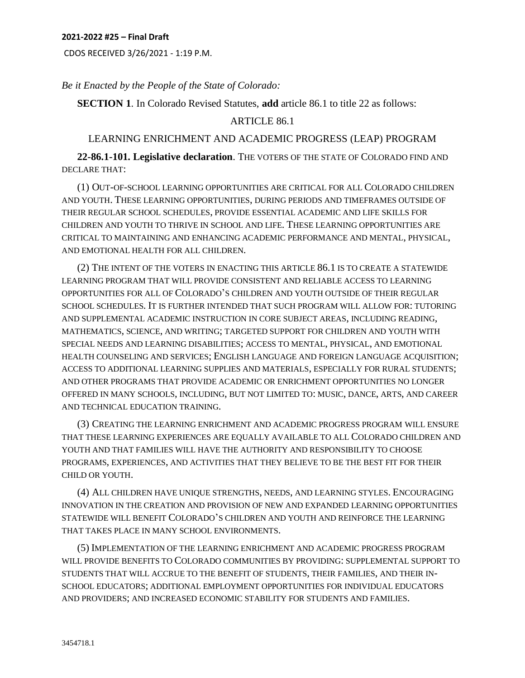CDOS RECEIVED 3/26/2021 - 1:19 P.M.

*Be it Enacted by the People of the State of Colorado:* 

**SECTION 1**. In Colorado Revised Statutes, **add** article 86.1 to title 22 as follows:

## ARTICLE 86.1

## LEARNING ENRICHMENT AND ACADEMIC PROGRESS (LEAP) PROGRAM

**22-86.1-101. Legislative declaration**. THE VOTERS OF THE STATE OF COLORADO FIND AND DECLARE THAT:

(1) OUT-OF-SCHOOL LEARNING OPPORTUNITIES ARE CRITICAL FOR ALL COLORADO CHILDREN AND YOUTH. THESE LEARNING OPPORTUNITIES, DURING PERIODS AND TIMEFRAMES OUTSIDE OF THEIR REGULAR SCHOOL SCHEDULES, PROVIDE ESSENTIAL ACADEMIC AND LIFE SKILLS FOR CHILDREN AND YOUTH TO THRIVE IN SCHOOL AND LIFE. THESE LEARNING OPPORTUNITIES ARE CRITICAL TO MAINTAINING AND ENHANCING ACADEMIC PERFORMANCE AND MENTAL, PHYSICAL, AND EMOTIONAL HEALTH FOR ALL CHILDREN.

(2) THE INTENT OF THE VOTERS IN ENACTING THIS ARTICLE 86.1 IS TO CREATE A STATEWIDE LEARNING PROGRAM THAT WILL PROVIDE CONSISTENT AND RELIABLE ACCESS TO LEARNING OPPORTUNITIES FOR ALL OF COLORADO'S CHILDREN AND YOUTH OUTSIDE OF THEIR REGULAR SCHOOL SCHEDULES. IT IS FURTHER INTENDED THAT SUCH PROGRAM WILL ALLOW FOR: TUTORING AND SUPPLEMENTAL ACADEMIC INSTRUCTION IN CORE SUBJECT AREAS, INCLUDING READING, MATHEMATICS, SCIENCE, AND WRITING; TARGETED SUPPORT FOR CHILDREN AND YOUTH WITH SPECIAL NEEDS AND LEARNING DISABILITIES; ACCESS TO MENTAL, PHYSICAL, AND EMOTIONAL HEALTH COUNSELING AND SERVICES; ENGLISH LANGUAGE AND FOREIGN LANGUAGE ACQUISITION; ACCESS TO ADDITIONAL LEARNING SUPPLIES AND MATERIALS, ESPECIALLY FOR RURAL STUDENTS; AND OTHER PROGRAMS THAT PROVIDE ACADEMIC OR ENRICHMENT OPPORTUNITIES NO LONGER OFFERED IN MANY SCHOOLS, INCLUDING, BUT NOT LIMITED TO: MUSIC, DANCE, ARTS, AND CAREER AND TECHNICAL EDUCATION TRAINING.

(3) CREATING THE LEARNING ENRICHMENT AND ACADEMIC PROGRESS PROGRAM WILL ENSURE THAT THESE LEARNING EXPERIENCES ARE EQUALLY AVAILABLE TO ALL COLORADO CHILDREN AND YOUTH AND THAT FAMILIES WILL HAVE THE AUTHORITY AND RESPONSIBILITY TO CHOOSE PROGRAMS, EXPERIENCES, AND ACTIVITIES THAT THEY BELIEVE TO BE THE BEST FIT FOR THEIR CHILD OR YOUTH.

(4) ALL CHILDREN HAVE UNIQUE STRENGTHS, NEEDS, AND LEARNING STYLES. ENCOURAGING INNOVATION IN THE CREATION AND PROVISION OF NEW AND EXPANDED LEARNING OPPORTUNITIES STATEWIDE WILL BENEFIT COLORADO'S CHILDREN AND YOUTH AND REINFORCE THE LEARNING THAT TAKES PLACE IN MANY SCHOOL ENVIRONMENTS.

(5) IMPLEMENTATION OF THE LEARNING ENRICHMENT AND ACADEMIC PROGRESS PROGRAM WILL PROVIDE BENEFITS TO COLORADO COMMUNITIES BY PROVIDING: SUPPLEMENTAL SUPPORT TO STUDENTS THAT WILL ACCRUE TO THE BENEFIT OF STUDENTS, THEIR FAMILIES, AND THEIR IN-SCHOOL EDUCATORS; ADDITIONAL EMPLOYMENT OPPORTUNITIES FOR INDIVIDUAL EDUCATORS AND PROVIDERS; AND INCREASED ECONOMIC STABILITY FOR STUDENTS AND FAMILIES.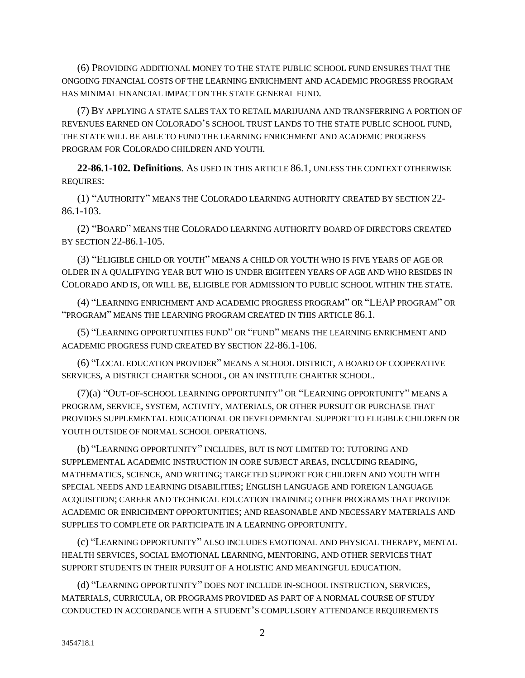(6) PROVIDING ADDITIONAL MONEY TO THE STATE PUBLIC SCHOOL FUND ENSURES THAT THE ONGOING FINANCIAL COSTS OF THE LEARNING ENRICHMENT AND ACADEMIC PROGRESS PROGRAM HAS MINIMAL FINANCIAL IMPACT ON THE STATE GENERAL FUND.

(7) BY APPLYING A STATE SALES TAX TO RETAIL MARIJUANA AND TRANSFERRING A PORTION OF REVENUES EARNED ON COLORADO'S SCHOOL TRUST LANDS TO THE STATE PUBLIC SCHOOL FUND, THE STATE WILL BE ABLE TO FUND THE LEARNING ENRICHMENT AND ACADEMIC PROGRESS PROGRAM FOR COLORADO CHILDREN AND YOUTH.

**22-86.1-102. Definitions**. AS USED IN THIS ARTICLE 86.1, UNLESS THE CONTEXT OTHERWISE REQUIRES:

(1) "AUTHORITY" MEANS THE COLORADO LEARNING AUTHORITY CREATED BY SECTION 22- 86.1-103.

(2) "BOARD" MEANS THE COLORADO LEARNING AUTHORITY BOARD OF DIRECTORS CREATED BY SECTION 22-86.1-105.

(3) "ELIGIBLE CHILD OR YOUTH" MEANS A CHILD OR YOUTH WHO IS FIVE YEARS OF AGE OR OLDER IN A QUALIFYING YEAR BUT WHO IS UNDER EIGHTEEN YEARS OF AGE AND WHO RESIDES IN COLORADO AND IS, OR WILL BE, ELIGIBLE FOR ADMISSION TO PUBLIC SCHOOL WITHIN THE STATE.

(4) "LEARNING ENRICHMENT AND ACADEMIC PROGRESS PROGRAM" OR "LEAP PROGRAM" OR "PROGRAM" MEANS THE LEARNING PROGRAM CREATED IN THIS ARTICLE 86.1.

(5) "LEARNING OPPORTUNITIES FUND" OR "FUND" MEANS THE LEARNING ENRICHMENT AND ACADEMIC PROGRESS FUND CREATED BY SECTION 22-86.1-106.

(6) "LOCAL EDUCATION PROVIDER" MEANS A SCHOOL DISTRICT, A BOARD OF COOPERATIVE SERVICES, A DISTRICT CHARTER SCHOOL, OR AN INSTITUTE CHARTER SCHOOL.

(7)(a) "OUT-OF-SCHOOL LEARNING OPPORTUNITY" OR "LEARNING OPPORTUNITY" MEANS A PROGRAM, SERVICE, SYSTEM, ACTIVITY, MATERIALS, OR OTHER PURSUIT OR PURCHASE THAT PROVIDES SUPPLEMENTAL EDUCATIONAL OR DEVELOPMENTAL SUPPORT TO ELIGIBLE CHILDREN OR YOUTH OUTSIDE OF NORMAL SCHOOL OPERATIONS.

(b) "LEARNING OPPORTUNITY" INCLUDES, BUT IS NOT LIMITED TO: TUTORING AND SUPPLEMENTAL ACADEMIC INSTRUCTION IN CORE SUBJECT AREAS, INCLUDING READING, MATHEMATICS, SCIENCE, AND WRITING; TARGETED SUPPORT FOR CHILDREN AND YOUTH WITH SPECIAL NEEDS AND LEARNING DISABILITIES; ENGLISH LANGUAGE AND FOREIGN LANGUAGE ACQUISITION; CAREER AND TECHNICAL EDUCATION TRAINING; OTHER PROGRAMS THAT PROVIDE ACADEMIC OR ENRICHMENT OPPORTUNITIES; AND REASONABLE AND NECESSARY MATERIALS AND SUPPLIES TO COMPLETE OR PARTICIPATE IN A LEARNING OPPORTUNITY.

(c) "LEARNING OPPORTUNITY" ALSO INCLUDES EMOTIONAL AND PHYSICAL THERAPY, MENTAL HEALTH SERVICES, SOCIAL EMOTIONAL LEARNING, MENTORING, AND OTHER SERVICES THAT SUPPORT STUDENTS IN THEIR PURSUIT OF A HOLISTIC AND MEANINGFUL EDUCATION.

(d) "LEARNING OPPORTUNITY" DOES NOT INCLUDE IN-SCHOOL INSTRUCTION, SERVICES, MATERIALS, CURRICULA, OR PROGRAMS PROVIDED AS PART OF A NORMAL COURSE OF STUDY CONDUCTED IN ACCORDANCE WITH A STUDENT'S COMPULSORY ATTENDANCE REQUIREMENTS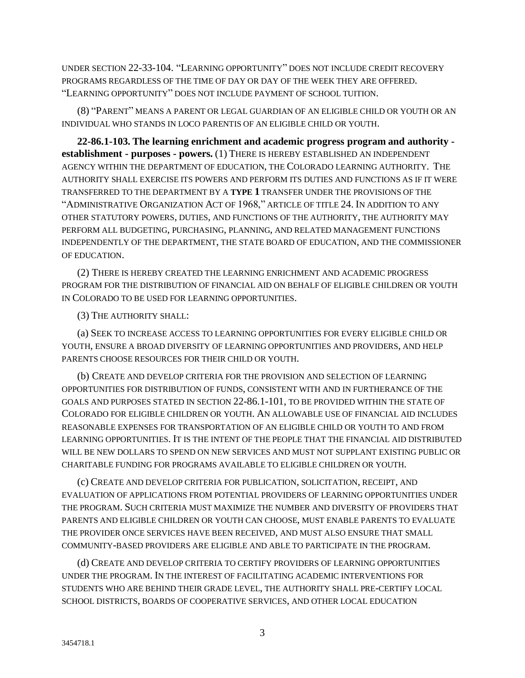UNDER SECTION 22-33-104. "LEARNING OPPORTUNITY" DOES NOT INCLUDE CREDIT RECOVERY PROGRAMS REGARDLESS OF THE TIME OF DAY OR DAY OF THE WEEK THEY ARE OFFERED. "LEARNING OPPORTUNITY" DOES NOT INCLUDE PAYMENT OF SCHOOL TUITION.

(8) "PARENT" MEANS A PARENT OR LEGAL GUARDIAN OF AN ELIGIBLE CHILD OR YOUTH OR AN INDIVIDUAL WHO STANDS IN LOCO PARENTIS OF AN ELIGIBLE CHILD OR YOUTH.

**22-86.1-103. The learning enrichment and academic progress program and authority establishment - purposes - powers.** (1) THERE IS HEREBY ESTABLISHED AN INDEPENDENT AGENCY WITHIN THE DEPARTMENT OF EDUCATION, THE COLORADO LEARNING AUTHORITY. THE AUTHORITY SHALL EXERCISE ITS POWERS AND PERFORM ITS DUTIES AND FUNCTIONS AS IF IT WERE TRANSFERRED TO THE DEPARTMENT BY A **TYPE 1** TRANSFER UNDER THE PROVISIONS OF THE "ADMINISTRATIVE ORGANIZATION ACT OF 1968," ARTICLE OF TITLE 24. IN ADDITION TO ANY OTHER STATUTORY POWERS, DUTIES, AND FUNCTIONS OF THE AUTHORITY, THE AUTHORITY MAY PERFORM ALL BUDGETING, PURCHASING, PLANNING, AND RELATED MANAGEMENT FUNCTIONS INDEPENDENTLY OF THE DEPARTMENT, THE STATE BOARD OF EDUCATION, AND THE COMMISSIONER OF EDUCATION.

(2) THERE IS HEREBY CREATED THE LEARNING ENRICHMENT AND ACADEMIC PROGRESS PROGRAM FOR THE DISTRIBUTION OF FINANCIAL AID ON BEHALF OF ELIGIBLE CHILDREN OR YOUTH IN COLORADO TO BE USED FOR LEARNING OPPORTUNITIES.

(3) THE AUTHORITY SHALL:

(a) SEEK TO INCREASE ACCESS TO LEARNING OPPORTUNITIES FOR EVERY ELIGIBLE CHILD OR YOUTH, ENSURE A BROAD DIVERSITY OF LEARNING OPPORTUNITIES AND PROVIDERS, AND HELP PARENTS CHOOSE RESOURCES FOR THEIR CHILD OR YOUTH.

(b) CREATE AND DEVELOP CRITERIA FOR THE PROVISION AND SELECTION OF LEARNING OPPORTUNITIES FOR DISTRIBUTION OF FUNDS, CONSISTENT WITH AND IN FURTHERANCE OF THE GOALS AND PURPOSES STATED IN SECTION 22-86.1-101, TO BE PROVIDED WITHIN THE STATE OF COLORADO FOR ELIGIBLE CHILDREN OR YOUTH. AN ALLOWABLE USE OF FINANCIAL AID INCLUDES REASONABLE EXPENSES FOR TRANSPORTATION OF AN ELIGIBLE CHILD OR YOUTH TO AND FROM LEARNING OPPORTUNITIES. IT IS THE INTENT OF THE PEOPLE THAT THE FINANCIAL AID DISTRIBUTED WILL BE NEW DOLLARS TO SPEND ON NEW SERVICES AND MUST NOT SUPPLANT EXISTING PUBLIC OR CHARITABLE FUNDING FOR PROGRAMS AVAILABLE TO ELIGIBLE CHILDREN OR YOUTH.

(c) CREATE AND DEVELOP CRITERIA FOR PUBLICATION, SOLICITATION, RECEIPT, AND EVALUATION OF APPLICATIONS FROM POTENTIAL PROVIDERS OF LEARNING OPPORTUNITIES UNDER THE PROGRAM. SUCH CRITERIA MUST MAXIMIZE THE NUMBER AND DIVERSITY OF PROVIDERS THAT PARENTS AND ELIGIBLE CHILDREN OR YOUTH CAN CHOOSE, MUST ENABLE PARENTS TO EVALUATE THE PROVIDER ONCE SERVICES HAVE BEEN RECEIVED, AND MUST ALSO ENSURE THAT SMALL COMMUNITY-BASED PROVIDERS ARE ELIGIBLE AND ABLE TO PARTICIPATE IN THE PROGRAM.

(d) CREATE AND DEVELOP CRITERIA TO CERTIFY PROVIDERS OF LEARNING OPPORTUNITIES UNDER THE PROGRAM. IN THE INTEREST OF FACILITATING ACADEMIC INTERVENTIONS FOR STUDENTS WHO ARE BEHIND THEIR GRADE LEVEL, THE AUTHORITY SHALL PRE-CERTIFY LOCAL SCHOOL DISTRICTS, BOARDS OF COOPERATIVE SERVICES, AND OTHER LOCAL EDUCATION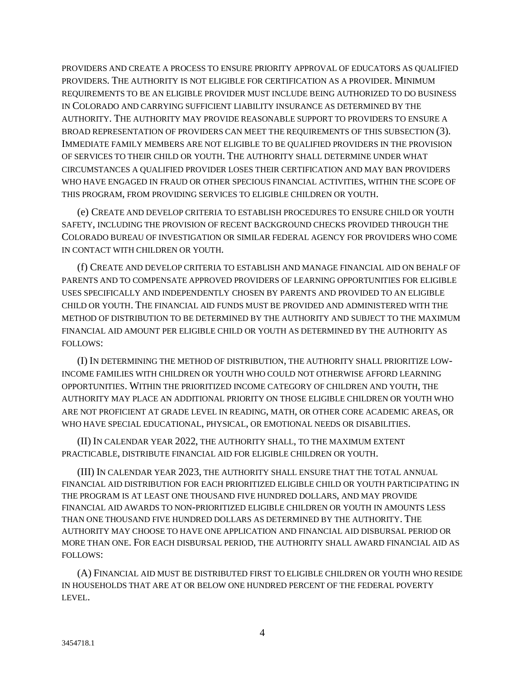PROVIDERS AND CREATE A PROCESS TO ENSURE PRIORITY APPROVAL OF EDUCATORS AS QUALIFIED PROVIDERS. THE AUTHORITY IS NOT ELIGIBLE FOR CERTIFICATION AS A PROVIDER. MINIMUM REQUIREMENTS TO BE AN ELIGIBLE PROVIDER MUST INCLUDE BEING AUTHORIZED TO DO BUSINESS IN COLORADO AND CARRYING SUFFICIENT LIABILITY INSURANCE AS DETERMINED BY THE AUTHORITY. THE AUTHORITY MAY PROVIDE REASONABLE SUPPORT TO PROVIDERS TO ENSURE A BROAD REPRESENTATION OF PROVIDERS CAN MEET THE REQUIREMENTS OF THIS SUBSECTION (3). IMMEDIATE FAMILY MEMBERS ARE NOT ELIGIBLE TO BE QUALIFIED PROVIDERS IN THE PROVISION OF SERVICES TO THEIR CHILD OR YOUTH. THE AUTHORITY SHALL DETERMINE UNDER WHAT CIRCUMSTANCES A QUALIFIED PROVIDER LOSES THEIR CERTIFICATION AND MAY BAN PROVIDERS WHO HAVE ENGAGED IN FRAUD OR OTHER SPECIOUS FINANCIAL ACTIVITIES, WITHIN THE SCOPE OF THIS PROGRAM, FROM PROVIDING SERVICES TO ELIGIBLE CHILDREN OR YOUTH.

(e) CREATE AND DEVELOP CRITERIA TO ESTABLISH PROCEDURES TO ENSURE CHILD OR YOUTH SAFETY, INCLUDING THE PROVISION OF RECENT BACKGROUND CHECKS PROVIDED THROUGH THE COLORADO BUREAU OF INVESTIGATION OR SIMILAR FEDERAL AGENCY FOR PROVIDERS WHO COME IN CONTACT WITH CHILDREN OR YOUTH.

(f) CREATE AND DEVELOP CRITERIA TO ESTABLISH AND MANAGE FINANCIAL AID ON BEHALF OF PARENTS AND TO COMPENSATE APPROVED PROVIDERS OF LEARNING OPPORTUNITIES FOR ELIGIBLE USES SPECIFICALLY AND INDEPENDENTLY CHOSEN BY PARENTS AND PROVIDED TO AN ELIGIBLE CHILD OR YOUTH. THE FINANCIAL AID FUNDS MUST BE PROVIDED AND ADMINISTERED WITH THE METHOD OF DISTRIBUTION TO BE DETERMINED BY THE AUTHORITY AND SUBJECT TO THE MAXIMUM FINANCIAL AID AMOUNT PER ELIGIBLE CHILD OR YOUTH AS DETERMINED BY THE AUTHORITY AS FOLLOWS:

(I) IN DETERMINING THE METHOD OF DISTRIBUTION, THE AUTHORITY SHALL PRIORITIZE LOW-INCOME FAMILIES WITH CHILDREN OR YOUTH WHO COULD NOT OTHERWISE AFFORD LEARNING OPPORTUNITIES. WITHIN THE PRIORITIZED INCOME CATEGORY OF CHILDREN AND YOUTH, THE AUTHORITY MAY PLACE AN ADDITIONAL PRIORITY ON THOSE ELIGIBLE CHILDREN OR YOUTH WHO ARE NOT PROFICIENT AT GRADE LEVEL IN READING, MATH, OR OTHER CORE ACADEMIC AREAS, OR WHO HAVE SPECIAL EDUCATIONAL, PHYSICAL, OR EMOTIONAL NEEDS OR DISABILITIES.

(II) IN CALENDAR YEAR 2022, THE AUTHORITY SHALL, TO THE MAXIMUM EXTENT PRACTICABLE, DISTRIBUTE FINANCIAL AID FOR ELIGIBLE CHILDREN OR YOUTH.

(III) IN CALENDAR YEAR 2023, THE AUTHORITY SHALL ENSURE THAT THE TOTAL ANNUAL FINANCIAL AID DISTRIBUTION FOR EACH PRIORITIZED ELIGIBLE CHILD OR YOUTH PARTICIPATING IN THE PROGRAM IS AT LEAST ONE THOUSAND FIVE HUNDRED DOLLARS, AND MAY PROVIDE FINANCIAL AID AWARDS TO NON-PRIORITIZED ELIGIBLE CHILDREN OR YOUTH IN AMOUNTS LESS THAN ONE THOUSAND FIVE HUNDRED DOLLARS AS DETERMINED BY THE AUTHORITY. THE AUTHORITY MAY CHOOSE TO HAVE ONE APPLICATION AND FINANCIAL AID DISBURSAL PERIOD OR MORE THAN ONE. FOR EACH DISBURSAL PERIOD, THE AUTHORITY SHALL AWARD FINANCIAL AID AS FOLLOWS:

(A) FINANCIAL AID MUST BE DISTRIBUTED FIRST TO ELIGIBLE CHILDREN OR YOUTH WHO RESIDE IN HOUSEHOLDS THAT ARE AT OR BELOW ONE HUNDRED PERCENT OF THE FEDERAL POVERTY LEVEL.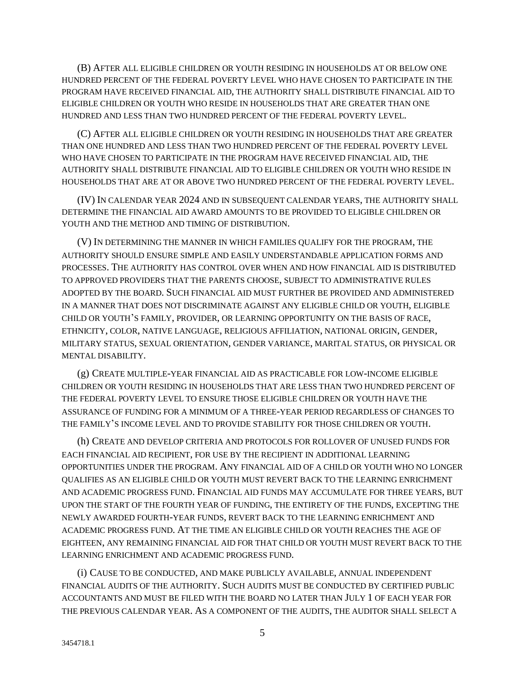(B) AFTER ALL ELIGIBLE CHILDREN OR YOUTH RESIDING IN HOUSEHOLDS AT OR BELOW ONE HUNDRED PERCENT OF THE FEDERAL POVERTY LEVEL WHO HAVE CHOSEN TO PARTICIPATE IN THE PROGRAM HAVE RECEIVED FINANCIAL AID, THE AUTHORITY SHALL DISTRIBUTE FINANCIAL AID TO ELIGIBLE CHILDREN OR YOUTH WHO RESIDE IN HOUSEHOLDS THAT ARE GREATER THAN ONE HUNDRED AND LESS THAN TWO HUNDRED PERCENT OF THE FEDERAL POVERTY LEVEL.

(C) AFTER ALL ELIGIBLE CHILDREN OR YOUTH RESIDING IN HOUSEHOLDS THAT ARE GREATER THAN ONE HUNDRED AND LESS THAN TWO HUNDRED PERCENT OF THE FEDERAL POVERTY LEVEL WHO HAVE CHOSEN TO PARTICIPATE IN THE PROGRAM HAVE RECEIVED FINANCIAL AID, THE AUTHORITY SHALL DISTRIBUTE FINANCIAL AID TO ELIGIBLE CHILDREN OR YOUTH WHO RESIDE IN HOUSEHOLDS THAT ARE AT OR ABOVE TWO HUNDRED PERCENT OF THE FEDERAL POVERTY LEVEL.

(IV) IN CALENDAR YEAR 2024 AND IN SUBSEQUENT CALENDAR YEARS, THE AUTHORITY SHALL DETERMINE THE FINANCIAL AID AWARD AMOUNTS TO BE PROVIDED TO ELIGIBLE CHILDREN OR YOUTH AND THE METHOD AND TIMING OF DISTRIBUTION.

(V) IN DETERMINING THE MANNER IN WHICH FAMILIES QUALIFY FOR THE PROGRAM, THE AUTHORITY SHOULD ENSURE SIMPLE AND EASILY UNDERSTANDABLE APPLICATION FORMS AND PROCESSES. THE AUTHORITY HAS CONTROL OVER WHEN AND HOW FINANCIAL AID IS DISTRIBUTED TO APPROVED PROVIDERS THAT THE PARENTS CHOOSE, SUBJECT TO ADMINISTRATIVE RULES ADOPTED BY THE BOARD. SUCH FINANCIAL AID MUST FURTHER BE PROVIDED AND ADMINISTERED IN A MANNER THAT DOES NOT DISCRIMINATE AGAINST ANY ELIGIBLE CHILD OR YOUTH, ELIGIBLE CHILD OR YOUTH'S FAMILY, PROVIDER, OR LEARNING OPPORTUNITY ON THE BASIS OF RACE, ETHNICITY, COLOR, NATIVE LANGUAGE, RELIGIOUS AFFILIATION, NATIONAL ORIGIN, GENDER, MILITARY STATUS, SEXUAL ORIENTATION, GENDER VARIANCE, MARITAL STATUS, OR PHYSICAL OR MENTAL DISABILITY.

(g) CREATE MULTIPLE-YEAR FINANCIAL AID AS PRACTICABLE FOR LOW-INCOME ELIGIBLE CHILDREN OR YOUTH RESIDING IN HOUSEHOLDS THAT ARE LESS THAN TWO HUNDRED PERCENT OF THE FEDERAL POVERTY LEVEL TO ENSURE THOSE ELIGIBLE CHILDREN OR YOUTH HAVE THE ASSURANCE OF FUNDING FOR A MINIMUM OF A THREE-YEAR PERIOD REGARDLESS OF CHANGES TO THE FAMILY'S INCOME LEVEL AND TO PROVIDE STABILITY FOR THOSE CHILDREN OR YOUTH.

(h) CREATE AND DEVELOP CRITERIA AND PROTOCOLS FOR ROLLOVER OF UNUSED FUNDS FOR EACH FINANCIAL AID RECIPIENT, FOR USE BY THE RECIPIENT IN ADDITIONAL LEARNING OPPORTUNITIES UNDER THE PROGRAM. ANY FINANCIAL AID OF A CHILD OR YOUTH WHO NO LONGER QUALIFIES AS AN ELIGIBLE CHILD OR YOUTH MUST REVERT BACK TO THE LEARNING ENRICHMENT AND ACADEMIC PROGRESS FUND. FINANCIAL AID FUNDS MAY ACCUMULATE FOR THREE YEARS, BUT UPON THE START OF THE FOURTH YEAR OF FUNDING, THE ENTIRETY OF THE FUNDS, EXCEPTING THE NEWLY AWARDED FOURTH-YEAR FUNDS, REVERT BACK TO THE LEARNING ENRICHMENT AND ACADEMIC PROGRESS FUND. AT THE TIME AN ELIGIBLE CHILD OR YOUTH REACHES THE AGE OF EIGHTEEN, ANY REMAINING FINANCIAL AID FOR THAT CHILD OR YOUTH MUST REVERT BACK TO THE LEARNING ENRICHMENT AND ACADEMIC PROGRESS FUND.

(i) CAUSE TO BE CONDUCTED, AND MAKE PUBLICLY AVAILABLE, ANNUAL INDEPENDENT FINANCIAL AUDITS OF THE AUTHORITY. SUCH AUDITS MUST BE CONDUCTED BY CERTIFIED PUBLIC ACCOUNTANTS AND MUST BE FILED WITH THE BOARD NO LATER THAN JULY 1 OF EACH YEAR FOR THE PREVIOUS CALENDAR YEAR. AS A COMPONENT OF THE AUDITS, THE AUDITOR SHALL SELECT A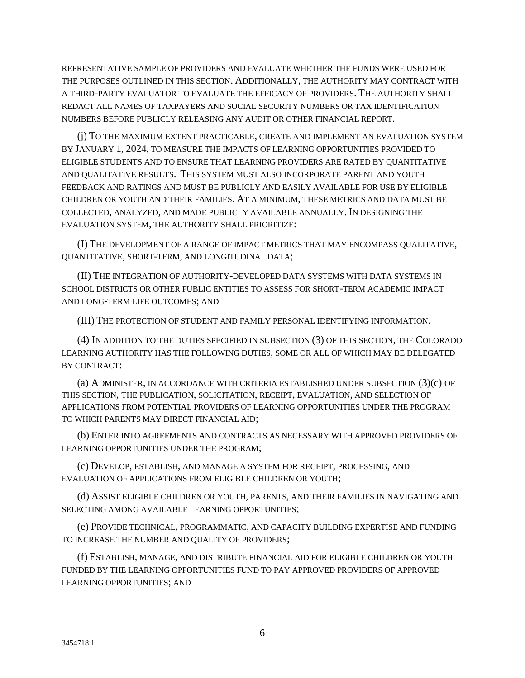REPRESENTATIVE SAMPLE OF PROVIDERS AND EVALUATE WHETHER THE FUNDS WERE USED FOR THE PURPOSES OUTLINED IN THIS SECTION. ADDITIONALLY, THE AUTHORITY MAY CONTRACT WITH A THIRD-PARTY EVALUATOR TO EVALUATE THE EFFICACY OF PROVIDERS. THE AUTHORITY SHALL REDACT ALL NAMES OF TAXPAYERS AND SOCIAL SECURITY NUMBERS OR TAX IDENTIFICATION NUMBERS BEFORE PUBLICLY RELEASING ANY AUDIT OR OTHER FINANCIAL REPORT.

(j) TO THE MAXIMUM EXTENT PRACTICABLE, CREATE AND IMPLEMENT AN EVALUATION SYSTEM BY JANUARY 1, 2024, TO MEASURE THE IMPACTS OF LEARNING OPPORTUNITIES PROVIDED TO ELIGIBLE STUDENTS AND TO ENSURE THAT LEARNING PROVIDERS ARE RATED BY QUANTITATIVE AND QUALITATIVE RESULTS. THIS SYSTEM MUST ALSO INCORPORATE PARENT AND YOUTH FEEDBACK AND RATINGS AND MUST BE PUBLICLY AND EASILY AVAILABLE FOR USE BY ELIGIBLE CHILDREN OR YOUTH AND THEIR FAMILIES. AT A MINIMUM, THESE METRICS AND DATA MUST BE COLLECTED, ANALYZED, AND MADE PUBLICLY AVAILABLE ANNUALLY. IN DESIGNING THE EVALUATION SYSTEM, THE AUTHORITY SHALL PRIORITIZE:

(I) THE DEVELOPMENT OF A RANGE OF IMPACT METRICS THAT MAY ENCOMPASS QUALITATIVE, QUANTITATIVE, SHORT-TERM, AND LONGITUDINAL DATA;

(II) THE INTEGRATION OF AUTHORITY-DEVELOPED DATA SYSTEMS WITH DATA SYSTEMS IN SCHOOL DISTRICTS OR OTHER PUBLIC ENTITIES TO ASSESS FOR SHORT-TERM ACADEMIC IMPACT AND LONG-TERM LIFE OUTCOMES; AND

(III) THE PROTECTION OF STUDENT AND FAMILY PERSONAL IDENTIFYING INFORMATION.

(4) IN ADDITION TO THE DUTIES SPECIFIED IN SUBSECTION (3) OF THIS SECTION, THE COLORADO LEARNING AUTHORITY HAS THE FOLLOWING DUTIES, SOME OR ALL OF WHICH MAY BE DELEGATED BY CONTRACT:

(a) ADMINISTER, IN ACCORDANCE WITH CRITERIA ESTABLISHED UNDER SUBSECTION (3)(c) OF THIS SECTION, THE PUBLICATION, SOLICITATION, RECEIPT, EVALUATION, AND SELECTION OF APPLICATIONS FROM POTENTIAL PROVIDERS OF LEARNING OPPORTUNITIES UNDER THE PROGRAM TO WHICH PARENTS MAY DIRECT FINANCIAL AID;

(b) ENTER INTO AGREEMENTS AND CONTRACTS AS NECESSARY WITH APPROVED PROVIDERS OF LEARNING OPPORTUNITIES UNDER THE PROGRAM;

(c) DEVELOP, ESTABLISH, AND MANAGE A SYSTEM FOR RECEIPT, PROCESSING, AND EVALUATION OF APPLICATIONS FROM ELIGIBLE CHILDREN OR YOUTH;

(d) ASSIST ELIGIBLE CHILDREN OR YOUTH, PARENTS, AND THEIR FAMILIES IN NAVIGATING AND SELECTING AMONG AVAILABLE LEARNING OPPORTUNITIES;

(e) PROVIDE TECHNICAL, PROGRAMMATIC, AND CAPACITY BUILDING EXPERTISE AND FUNDING TO INCREASE THE NUMBER AND QUALITY OF PROVIDERS;

(f) ESTABLISH, MANAGE, AND DISTRIBUTE FINANCIAL AID FOR ELIGIBLE CHILDREN OR YOUTH FUNDED BY THE LEARNING OPPORTUNITIES FUND TO PAY APPROVED PROVIDERS OF APPROVED LEARNING OPPORTUNITIES; AND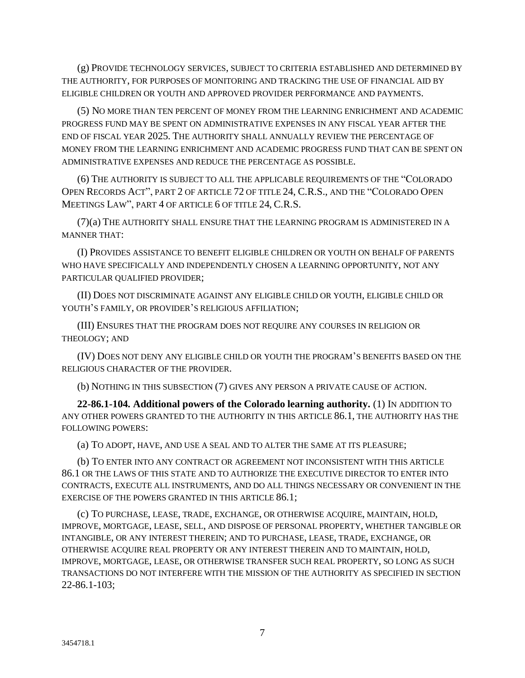(g) PROVIDE TECHNOLOGY SERVICES, SUBJECT TO CRITERIA ESTABLISHED AND DETERMINED BY THE AUTHORITY, FOR PURPOSES OF MONITORING AND TRACKING THE USE OF FINANCIAL AID BY ELIGIBLE CHILDREN OR YOUTH AND APPROVED PROVIDER PERFORMANCE AND PAYMENTS.

(5) NO MORE THAN TEN PERCENT OF MONEY FROM THE LEARNING ENRICHMENT AND ACADEMIC PROGRESS FUND MAY BE SPENT ON ADMINISTRATIVE EXPENSES IN ANY FISCAL YEAR AFTER THE END OF FISCAL YEAR 2025. THE AUTHORITY SHALL ANNUALLY REVIEW THE PERCENTAGE OF MONEY FROM THE LEARNING ENRICHMENT AND ACADEMIC PROGRESS FUND THAT CAN BE SPENT ON ADMINISTRATIVE EXPENSES AND REDUCE THE PERCENTAGE AS POSSIBLE.

(6) THE AUTHORITY IS SUBJECT TO ALL THE APPLICABLE REQUIREMENTS OF THE "COLORADO OPEN RECORDS ACT", PART 2 OF ARTICLE 72 OF TITLE 24, C.R.S., AND THE "COLORADO OPEN MEETINGS LAW", PART 4 OF ARTICLE 6 OF TITLE 24, C.R.S.

(7)(a) THE AUTHORITY SHALL ENSURE THAT THE LEARNING PROGRAM IS ADMINISTERED IN A MANNER THAT:

(I) PROVIDES ASSISTANCE TO BENEFIT ELIGIBLE CHILDREN OR YOUTH ON BEHALF OF PARENTS WHO HAVE SPECIFICALLY AND INDEPENDENTLY CHOSEN A LEARNING OPPORTUNITY, NOT ANY PARTICULAR QUALIFIED PROVIDER;

(II) DOES NOT DISCRIMINATE AGAINST ANY ELIGIBLE CHILD OR YOUTH, ELIGIBLE CHILD OR YOUTH'S FAMILY, OR PROVIDER'S RELIGIOUS AFFILIATION;

(III) ENSURES THAT THE PROGRAM DOES NOT REQUIRE ANY COURSES IN RELIGION OR THEOLOGY; AND

(IV) DOES NOT DENY ANY ELIGIBLE CHILD OR YOUTH THE PROGRAM'S BENEFITS BASED ON THE RELIGIOUS CHARACTER OF THE PROVIDER.

(b) NOTHING IN THIS SUBSECTION (7) GIVES ANY PERSON A PRIVATE CAUSE OF ACTION.

**22-86.1-104. Additional powers of the Colorado learning authority.** (1) IN ADDITION TO ANY OTHER POWERS GRANTED TO THE AUTHORITY IN THIS ARTICLE 86.1, THE AUTHORITY HAS THE FOLLOWING POWERS:

(a) TO ADOPT, HAVE, AND USE A SEAL AND TO ALTER THE SAME AT ITS PLEASURE;

(b) TO ENTER INTO ANY CONTRACT OR AGREEMENT NOT INCONSISTENT WITH THIS ARTICLE 86.1 OR THE LAWS OF THIS STATE AND TO AUTHORIZE THE EXECUTIVE DIRECTOR TO ENTER INTO CONTRACTS, EXECUTE ALL INSTRUMENTS, AND DO ALL THINGS NECESSARY OR CONVENIENT IN THE EXERCISE OF THE POWERS GRANTED IN THIS ARTICLE 86.1;

(c) TO PURCHASE, LEASE, TRADE, EXCHANGE, OR OTHERWISE ACQUIRE, MAINTAIN, HOLD, IMPROVE, MORTGAGE, LEASE, SELL, AND DISPOSE OF PERSONAL PROPERTY, WHETHER TANGIBLE OR INTANGIBLE, OR ANY INTEREST THEREIN; AND TO PURCHASE, LEASE, TRADE, EXCHANGE, OR OTHERWISE ACQUIRE REAL PROPERTY OR ANY INTEREST THEREIN AND TO MAINTAIN, HOLD, IMPROVE, MORTGAGE, LEASE, OR OTHERWISE TRANSFER SUCH REAL PROPERTY, SO LONG AS SUCH TRANSACTIONS DO NOT INTERFERE WITH THE MISSION OF THE AUTHORITY AS SPECIFIED IN SECTION 22-86.1-103;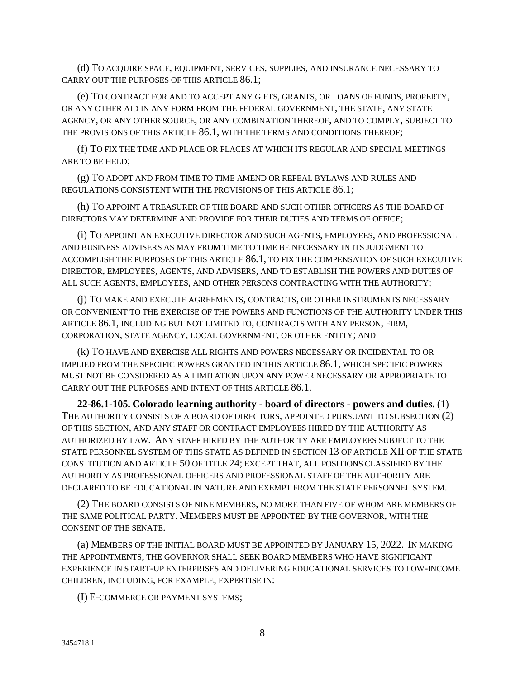(d) TO ACQUIRE SPACE, EQUIPMENT, SERVICES, SUPPLIES, AND INSURANCE NECESSARY TO CARRY OUT THE PURPOSES OF THIS ARTICLE 86.1;

(e) TO CONTRACT FOR AND TO ACCEPT ANY GIFTS, GRANTS, OR LOANS OF FUNDS, PROPERTY, OR ANY OTHER AID IN ANY FORM FROM THE FEDERAL GOVERNMENT, THE STATE, ANY STATE AGENCY, OR ANY OTHER SOURCE, OR ANY COMBINATION THEREOF, AND TO COMPLY, SUBJECT TO THE PROVISIONS OF THIS ARTICLE 86.1, WITH THE TERMS AND CONDITIONS THEREOF;

(f) TO FIX THE TIME AND PLACE OR PLACES AT WHICH ITS REGULAR AND SPECIAL MEETINGS ARE TO BE HELD;

(g) TO ADOPT AND FROM TIME TO TIME AMEND OR REPEAL BYLAWS AND RULES AND REGULATIONS CONSISTENT WITH THE PROVISIONS OF THIS ARTICLE 86.1;

(h) TO APPOINT A TREASURER OF THE BOARD AND SUCH OTHER OFFICERS AS THE BOARD OF DIRECTORS MAY DETERMINE AND PROVIDE FOR THEIR DUTIES AND TERMS OF OFFICE;

(i) TO APPOINT AN EXECUTIVE DIRECTOR AND SUCH AGENTS, EMPLOYEES, AND PROFESSIONAL AND BUSINESS ADVISERS AS MAY FROM TIME TO TIME BE NECESSARY IN ITS JUDGMENT TO ACCOMPLISH THE PURPOSES OF THIS ARTICLE 86.1, TO FIX THE COMPENSATION OF SUCH EXECUTIVE DIRECTOR, EMPLOYEES, AGENTS, AND ADVISERS, AND TO ESTABLISH THE POWERS AND DUTIES OF ALL SUCH AGENTS, EMPLOYEES, AND OTHER PERSONS CONTRACTING WITH THE AUTHORITY;

(j) TO MAKE AND EXECUTE AGREEMENTS, CONTRACTS, OR OTHER INSTRUMENTS NECESSARY OR CONVENIENT TO THE EXERCISE OF THE POWERS AND FUNCTIONS OF THE AUTHORITY UNDER THIS ARTICLE 86.1, INCLUDING BUT NOT LIMITED TO, CONTRACTS WITH ANY PERSON, FIRM, CORPORATION, STATE AGENCY, LOCAL GOVERNMENT, OR OTHER ENTITY; AND

(k) TO HAVE AND EXERCISE ALL RIGHTS AND POWERS NECESSARY OR INCIDENTAL TO OR IMPLIED FROM THE SPECIFIC POWERS GRANTED IN THIS ARTICLE 86.1, WHICH SPECIFIC POWERS MUST NOT BE CONSIDERED AS A LIMITATION UPON ANY POWER NECESSARY OR APPROPRIATE TO CARRY OUT THE PURPOSES AND INTENT OF THIS ARTICLE 86.1.

**22-86.1-105. Colorado learning authority - board of directors - powers and duties.** (1) THE AUTHORITY CONSISTS OF A BOARD OF DIRECTORS, APPOINTED PURSUANT TO SUBSECTION (2) OF THIS SECTION, AND ANY STAFF OR CONTRACT EMPLOYEES HIRED BY THE AUTHORITY AS AUTHORIZED BY LAW. ANY STAFF HIRED BY THE AUTHORITY ARE EMPLOYEES SUBJECT TO THE STATE PERSONNEL SYSTEM OF THIS STATE AS DEFINED IN SECTION 13 OF ARTICLE XII OF THE STATE CONSTITUTION AND ARTICLE 50 OF TITLE 24; EXCEPT THAT, ALL POSITIONS CLASSIFIED BY THE AUTHORITY AS PROFESSIONAL OFFICERS AND PROFESSIONAL STAFF OF THE AUTHORITY ARE DECLARED TO BE EDUCATIONAL IN NATURE AND EXEMPT FROM THE STATE PERSONNEL SYSTEM.

(2) THE BOARD CONSISTS OF NINE MEMBERS, NO MORE THAN FIVE OF WHOM ARE MEMBERS OF THE SAME POLITICAL PARTY. MEMBERS MUST BE APPOINTED BY THE GOVERNOR, WITH THE CONSENT OF THE SENATE.

(a) MEMBERS OF THE INITIAL BOARD MUST BE APPOINTED BY JANUARY 15, 2022. IN MAKING THE APPOINTMENTS, THE GOVERNOR SHALL SEEK BOARD MEMBERS WHO HAVE SIGNIFICANT EXPERIENCE IN START-UP ENTERPRISES AND DELIVERING EDUCATIONAL SERVICES TO LOW-INCOME CHILDREN, INCLUDING, FOR EXAMPLE, EXPERTISE IN:

(I) E-COMMERCE OR PAYMENT SYSTEMS;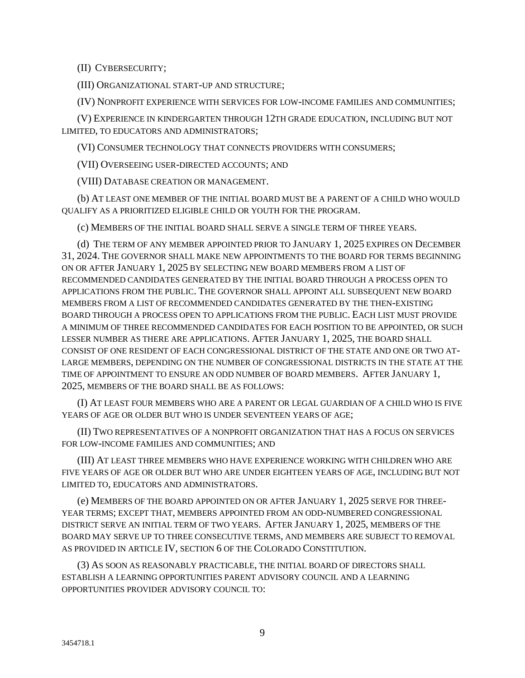(II) CYBERSECURITY;

(III) ORGANIZATIONAL START-UP AND STRUCTURE;

(IV) NONPROFIT EXPERIENCE WITH SERVICES FOR LOW-INCOME FAMILIES AND COMMUNITIES;

(V) EXPERIENCE IN KINDERGARTEN THROUGH 12TH GRADE EDUCATION, INCLUDING BUT NOT LIMITED, TO EDUCATORS AND ADMINISTRATORS;

(VI) CONSUMER TECHNOLOGY THAT CONNECTS PROVIDERS WITH CONSUMERS;

(VII) OVERSEEING USER-DIRECTED ACCOUNTS; AND

(VIII) DATABASE CREATION OR MANAGEMENT.

(b) AT LEAST ONE MEMBER OF THE INITIAL BOARD MUST BE A PARENT OF A CHILD WHO WOULD QUALIFY AS A PRIORITIZED ELIGIBLE CHILD OR YOUTH FOR THE PROGRAM.

(c) MEMBERS OF THE INITIAL BOARD SHALL SERVE A SINGLE TERM OF THREE YEARS.

(d) THE TERM OF ANY MEMBER APPOINTED PRIOR TO JANUARY 1, 2025 EXPIRES ON DECEMBER 31, 2024. THE GOVERNOR SHALL MAKE NEW APPOINTMENTS TO THE BOARD FOR TERMS BEGINNING ON OR AFTER JANUARY 1, 2025 BY SELECTING NEW BOARD MEMBERS FROM A LIST OF RECOMMENDED CANDIDATES GENERATED BY THE INITIAL BOARD THROUGH A PROCESS OPEN TO APPLICATIONS FROM THE PUBLIC. THE GOVERNOR SHALL APPOINT ALL SUBSEQUENT NEW BOARD MEMBERS FROM A LIST OF RECOMMENDED CANDIDATES GENERATED BY THE THEN-EXISTING BOARD THROUGH A PROCESS OPEN TO APPLICATIONS FROM THE PUBLIC. EACH LIST MUST PROVIDE A MINIMUM OF THREE RECOMMENDED CANDIDATES FOR EACH POSITION TO BE APPOINTED, OR SUCH LESSER NUMBER AS THERE ARE APPLICATIONS. AFTER JANUARY 1, 2025, THE BOARD SHALL CONSIST OF ONE RESIDENT OF EACH CONGRESSIONAL DISTRICT OF THE STATE AND ONE OR TWO AT-LARGE MEMBERS, DEPENDING ON THE NUMBER OF CONGRESSIONAL DISTRICTS IN THE STATE AT THE TIME OF APPOINTMENT TO ENSURE AN ODD NUMBER OF BOARD MEMBERS. AFTER JANUARY 1, 2025, MEMBERS OF THE BOARD SHALL BE AS FOLLOWS:

(I) AT LEAST FOUR MEMBERS WHO ARE A PARENT OR LEGAL GUARDIAN OF A CHILD WHO IS FIVE YEARS OF AGE OR OLDER BUT WHO IS UNDER SEVENTEEN YEARS OF AGE;

(II) TWO REPRESENTATIVES OF A NONPROFIT ORGANIZATION THAT HAS A FOCUS ON SERVICES FOR LOW-INCOME FAMILIES AND COMMUNITIES; AND

(III) AT LEAST THREE MEMBERS WHO HAVE EXPERIENCE WORKING WITH CHILDREN WHO ARE FIVE YEARS OF AGE OR OLDER BUT WHO ARE UNDER EIGHTEEN YEARS OF AGE, INCLUDING BUT NOT LIMITED TO, EDUCATORS AND ADMINISTRATORS.

(e) MEMBERS OF THE BOARD APPOINTED ON OR AFTER JANUARY 1, 2025 SERVE FOR THREE-YEAR TERMS; EXCEPT THAT, MEMBERS APPOINTED FROM AN ODD-NUMBERED CONGRESSIONAL DISTRICT SERVE AN INITIAL TERM OF TWO YEARS. AFTER JANUARY 1, 2025, MEMBERS OF THE BOARD MAY SERVE UP TO THREE CONSECUTIVE TERMS, AND MEMBERS ARE SUBJECT TO REMOVAL AS PROVIDED IN ARTICLE IV, SECTION 6 OF THE COLORADO CONSTITUTION.

(3) AS SOON AS REASONABLY PRACTICABLE, THE INITIAL BOARD OF DIRECTORS SHALL ESTABLISH A LEARNING OPPORTUNITIES PARENT ADVISORY COUNCIL AND A LEARNING OPPORTUNITIES PROVIDER ADVISORY COUNCIL TO: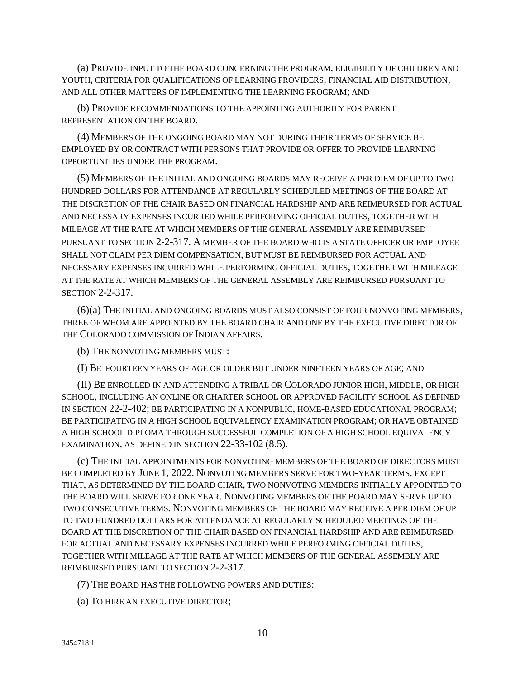(a) PROVIDE INPUT TO THE BOARD CONCERNING THE PROGRAM, ELIGIBILITY OF CHILDREN AND YOUTH, CRITERIA FOR QUALIFICATIONS OF LEARNING PROVIDERS, FINANCIAL AID DISTRIBUTION, AND ALL OTHER MATTERS OF IMPLEMENTING THE LEARNING PROGRAM; AND

(b) PROVIDE RECOMMENDATIONS TO THE APPOINTING AUTHORITY FOR PARENT REPRESENTATION ON THE BOARD.

(4) MEMBERS OF THE ONGOING BOARD MAY NOT DURING THEIR TERMS OF SERVICE BE EMPLOYED BY OR CONTRACT WITH PERSONS THAT PROVIDE OR OFFER TO PROVIDE LEARNING OPPORTUNITIES UNDER THE PROGRAM.

(5) MEMBERS OF THE INITIAL AND ONGOING BOARDS MAY RECEIVE A PER DIEM OF UP TO TWO HUNDRED DOLLARS FOR ATTENDANCE AT REGULARLY SCHEDULED MEETINGS OF THE BOARD AT THE DISCRETION OF THE CHAIR BASED ON FINANCIAL HARDSHIP AND ARE REIMBURSED FOR ACTUAL AND NECESSARY EXPENSES INCURRED WHILE PERFORMING OFFICIAL DUTIES, TOGETHER WITH MILEAGE AT THE RATE AT WHICH MEMBERS OF THE GENERAL ASSEMBLY ARE REIMBURSED PURSUANT TO SECTION 2-2-317. A MEMBER OF THE BOARD WHO IS A STATE OFFICER OR EMPLOYEE SHALL NOT CLAIM PER DIEM COMPENSATION, BUT MUST BE REIMBURSED FOR ACTUAL AND NECESSARY EXPENSES INCURRED WHILE PERFORMING OFFICIAL DUTIES, TOGETHER WITH MILEAGE AT THE RATE AT WHICH MEMBERS OF THE GENERAL ASSEMBLY ARE REIMBURSED PURSUANT TO SECTION 2-2-317.

(6)(a) THE INITIAL AND ONGOING BOARDS MUST ALSO CONSIST OF FOUR NONVOTING MEMBERS, THREE OF WHOM ARE APPOINTED BY THE BOARD CHAIR AND ONE BY THE EXECUTIVE DIRECTOR OF THE COLORADO COMMISSION OF INDIAN AFFAIRS.

(b) THE NONVOTING MEMBERS MUST:

(I) BE FOURTEEN YEARS OF AGE OR OLDER BUT UNDER NINETEEN YEARS OF AGE; AND

(II) BE ENROLLED IN AND ATTENDING A TRIBAL OR COLORADO JUNIOR HIGH, MIDDLE, OR HIGH SCHOOL, INCLUDING AN ONLINE OR CHARTER SCHOOL OR APPROVED FACILITY SCHOOL AS DEFINED IN SECTION 22-2-402; BE PARTICIPATING IN A NONPUBLIC, HOME-BASED EDUCATIONAL PROGRAM; BE PARTICIPATING IN A HIGH SCHOOL EQUIVALENCY EXAMINATION PROGRAM; OR HAVE OBTAINED A HIGH SCHOOL DIPLOMA THROUGH SUCCESSFUL COMPLETION OF A HIGH SCHOOL EQUIVALENCY EXAMINATION, AS DEFINED IN SECTION 22-33-102 (8.5).

(c) THE INITIAL APPOINTMENTS FOR NONVOTING MEMBERS OF THE BOARD OF DIRECTORS MUST BE COMPLETED BY JUNE 1, 2022. NONVOTING MEMBERS SERVE FOR TWO-YEAR TERMS, EXCEPT THAT, AS DETERMINED BY THE BOARD CHAIR, TWO NONVOTING MEMBERS INITIALLY APPOINTED TO THE BOARD WILL SERVE FOR ONE YEAR. NONVOTING MEMBERS OF THE BOARD MAY SERVE UP TO TWO CONSECUTIVE TERMS. NONVOTING MEMBERS OF THE BOARD MAY RECEIVE A PER DIEM OF UP TO TWO HUNDRED DOLLARS FOR ATTENDANCE AT REGULARLY SCHEDULED MEETINGS OF THE BOARD AT THE DISCRETION OF THE CHAIR BASED ON FINANCIAL HARDSHIP AND ARE REIMBURSED FOR ACTUAL AND NECESSARY EXPENSES INCURRED WHILE PERFORMING OFFICIAL DUTIES, TOGETHER WITH MILEAGE AT THE RATE AT WHICH MEMBERS OF THE GENERAL ASSEMBLY ARE REIMBURSED PURSUANT TO SECTION 2-2-317.

(7) THE BOARD HAS THE FOLLOWING POWERS AND DUTIES:

(a) TO HIRE AN EXECUTIVE DIRECTOR;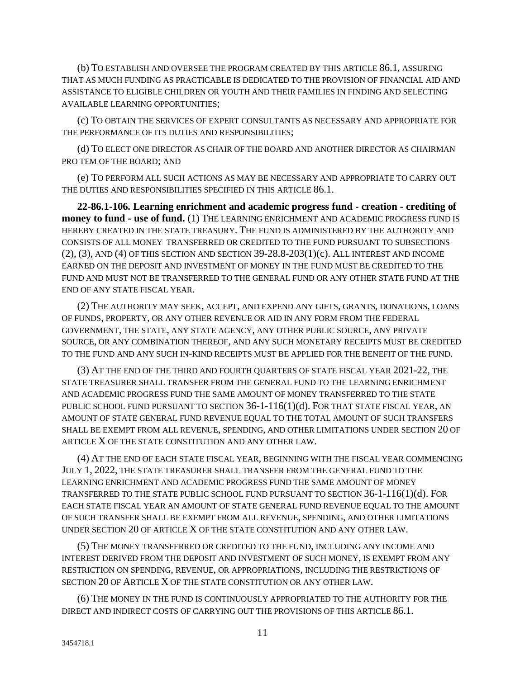(b) TO ESTABLISH AND OVERSEE THE PROGRAM CREATED BY THIS ARTICLE 86.1, ASSURING THAT AS MUCH FUNDING AS PRACTICABLE IS DEDICATED TO THE PROVISION OF FINANCIAL AID AND ASSISTANCE TO ELIGIBLE CHILDREN OR YOUTH AND THEIR FAMILIES IN FINDING AND SELECTING AVAILABLE LEARNING OPPORTUNITIES;

(c) TO OBTAIN THE SERVICES OF EXPERT CONSULTANTS AS NECESSARY AND APPROPRIATE FOR THE PERFORMANCE OF ITS DUTIES AND RESPONSIBILITIES;

(d) TO ELECT ONE DIRECTOR AS CHAIR OF THE BOARD AND ANOTHER DIRECTOR AS CHAIRMAN PRO TEM OF THE BOARD; AND

(e) TO PERFORM ALL SUCH ACTIONS AS MAY BE NECESSARY AND APPROPRIATE TO CARRY OUT THE DUTIES AND RESPONSIBILITIES SPECIFIED IN THIS ARTICLE 86.1.

**22-86.1-106. Learning enrichment and academic progress fund - creation - crediting of money to fund - use of fund.** (1) THE LEARNING ENRICHMENT AND ACADEMIC PROGRESS FUND IS HEREBY CREATED IN THE STATE TREASURY. THE FUND IS ADMINISTERED BY THE AUTHORITY AND CONSISTS OF ALL MONEY TRANSFERRED OR CREDITED TO THE FUND PURSUANT TO SUBSECTIONS  $(2)$ ,  $(3)$ , AND  $(4)$  OF THIS SECTION AND SECTION 39-28.8-203 $(1)(c)$ . ALL INTEREST AND INCOME EARNED ON THE DEPOSIT AND INVESTMENT OF MONEY IN THE FUND MUST BE CREDITED TO THE FUND AND MUST NOT BE TRANSFERRED TO THE GENERAL FUND OR ANY OTHER STATE FUND AT THE END OF ANY STATE FISCAL YEAR.

(2) THE AUTHORITY MAY SEEK, ACCEPT, AND EXPEND ANY GIFTS, GRANTS, DONATIONS, LOANS OF FUNDS, PROPERTY, OR ANY OTHER REVENUE OR AID IN ANY FORM FROM THE FEDERAL GOVERNMENT, THE STATE, ANY STATE AGENCY, ANY OTHER PUBLIC SOURCE, ANY PRIVATE SOURCE, OR ANY COMBINATION THEREOF, AND ANY SUCH MONETARY RECEIPTS MUST BE CREDITED TO THE FUND AND ANY SUCH IN-KIND RECEIPTS MUST BE APPLIED FOR THE BENEFIT OF THE FUND.

(3) AT THE END OF THE THIRD AND FOURTH QUARTERS OF STATE FISCAL YEAR 2021-22, THE STATE TREASURER SHALL TRANSFER FROM THE GENERAL FUND TO THE LEARNING ENRICHMENT AND ACADEMIC PROGRESS FUND THE SAME AMOUNT OF MONEY TRANSFERRED TO THE STATE PUBLIC SCHOOL FUND PURSUANT TO SECTION 36-1-116(1)(d). FOR THAT STATE FISCAL YEAR, AN AMOUNT OF STATE GENERAL FUND REVENUE EQUAL TO THE TOTAL AMOUNT OF SUCH TRANSFERS SHALL BE EXEMPT FROM ALL REVENUE, SPENDING, AND OTHER LIMITATIONS UNDER SECTION 20 OF ARTICLE X OF THE STATE CONSTITUTION AND ANY OTHER LAW.

(4) AT THE END OF EACH STATE FISCAL YEAR, BEGINNING WITH THE FISCAL YEAR COMMENCING JULY 1, 2022, THE STATE TREASURER SHALL TRANSFER FROM THE GENERAL FUND TO THE LEARNING ENRICHMENT AND ACADEMIC PROGRESS FUND THE SAME AMOUNT OF MONEY TRANSFERRED TO THE STATE PUBLIC SCHOOL FUND PURSUANT TO SECTION 36-1-116(1)(d). FOR EACH STATE FISCAL YEAR AN AMOUNT OF STATE GENERAL FUND REVENUE EQUAL TO THE AMOUNT OF SUCH TRANSFER SHALL BE EXEMPT FROM ALL REVENUE, SPENDING, AND OTHER LIMITATIONS UNDER SECTION 20 OF ARTICLE X OF THE STATE CONSTITUTION AND ANY OTHER LAW.

(5) THE MONEY TRANSFERRED OR CREDITED TO THE FUND, INCLUDING ANY INCOME AND INTEREST DERIVED FROM THE DEPOSIT AND INVESTMENT OF SUCH MONEY, IS EXEMPT FROM ANY RESTRICTION ON SPENDING, REVENUE, OR APPROPRIATIONS, INCLUDING THE RESTRICTIONS OF SECTION 20 OF ARTICLE X OF THE STATE CONSTITUTION OR ANY OTHER LAW.

(6) THE MONEY IN THE FUND IS CONTINUOUSLY APPROPRIATED TO THE AUTHORITY FOR THE DIRECT AND INDIRECT COSTS OF CARRYING OUT THE PROVISIONS OF THIS ARTICLE 86.1.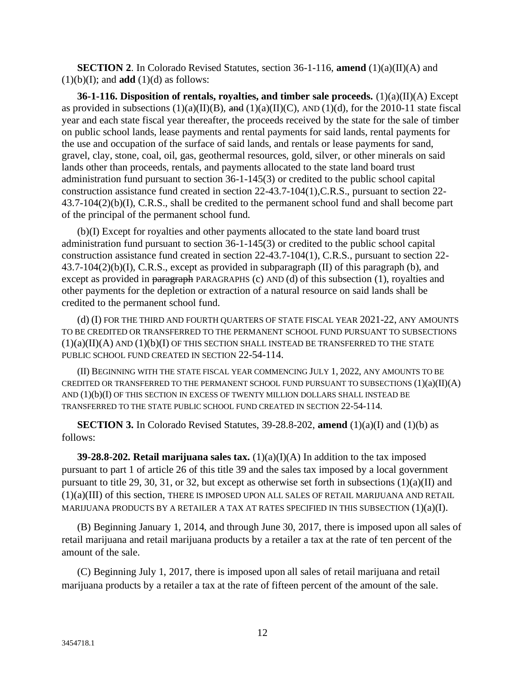**SECTION 2.** In Colorado Revised Statutes, section 36-1-116, **amend** (1)(a)(II)(A) and  $(1)(b)(I)$ ; and **add**  $(1)(d)$  as follows:

**36-1-116. Disposition of rentals, royalties, and timber sale proceeds.** (1)(a)(II)(A) Except as provided in subsections  $(1)(a)(II)(B)$ , and  $(1)(a)(II)(C)$ , AND  $(1)(d)$ , for the 2010-11 state fiscal year and each state fiscal year thereafter, the proceeds received by the state for the sale of timber on public school lands, lease payments and rental payments for said lands, rental payments for the use and occupation of the surface of said lands, and rentals or lease payments for sand, gravel, clay, stone, coal, oil, gas, geothermal resources, gold, silver, or other minerals on said lands other than proceeds, rentals, and payments allocated to the state land board trust administration fund pursuant to section 36-1-145(3) or credited to the public school capital construction assistance fund created in section 22-43.7-104(1),C.R.S., pursuant to section 22- 43.7-104(2)(b)(I), C.R.S., shall be credited to the permanent school fund and shall become part of the principal of the permanent school fund.

(b)(I) Except for royalties and other payments allocated to the state land board trust administration fund pursuant to section 36-1-145(3) or credited to the public school capital construction assistance fund created in section 22-43.7-104(1), C.R.S., pursuant to section 22- 43.7-104(2)(b)(I), C.R.S., except as provided in subparagraph (II) of this paragraph (b), and except as provided in paragraph PARAGRAPHS (c) AND (d) of this subsection (1), royalties and other payments for the depletion or extraction of a natural resource on said lands shall be credited to the permanent school fund.

(d) (I) FOR THE THIRD AND FOURTH QUARTERS OF STATE FISCAL YEAR 2021-22, ANY AMOUNTS TO BE CREDITED OR TRANSFERRED TO THE PERMANENT SCHOOL FUND PURSUANT TO SUBSECTIONS  $(1)(a)(II)(A)$  AND  $(1)(b)(I)$  OF THIS SECTION SHALL INSTEAD BE TRANSFERRED TO THE STATE PUBLIC SCHOOL FUND CREATED IN SECTION 22-54-114.

(II) BEGINNING WITH THE STATE FISCAL YEAR COMMENCING JULY 1, 2022, ANY AMOUNTS TO BE CREDITED OR TRANSFERRED TO THE PERMANENT SCHOOL FUND PURSUANT TO SUBSECTIONS  $(1)(a)(II)(A)$ AND (1)(b)(I) OF THIS SECTION IN EXCESS OF TWENTY MILLION DOLLARS SHALL INSTEAD BE TRANSFERRED TO THE STATE PUBLIC SCHOOL FUND CREATED IN SECTION 22-54-114.

**SECTION 3.** In Colorado Revised Statutes,  $39-28.8-202$ , **amend**  $(1)(a)(I)$  and  $(1)(b)$  as follows:

**39-28.8-202. Retail marijuana sales tax.**  $(1)(a)(I)(A)$  In addition to the tax imposed pursuant to part 1 of article 26 of this title 39 and the sales tax imposed by a local government pursuant to title 29, 30, 31, or 32, but except as otherwise set forth in subsections  $(1)(a)(II)$  and (1)(a)(III) of this section, THERE IS IMPOSED UPON ALL SALES OF RETAIL MARIJUANA AND RETAIL MARIJUANA PRODUCTS BY A RETAILER A TAX AT RATES SPECIFIED IN THIS SUBSECTION  $(1)(a)(I)$ .

(B) Beginning January 1, 2014, and through June 30, 2017, there is imposed upon all sales of retail marijuana and retail marijuana products by a retailer a tax at the rate of ten percent of the amount of the sale.

(C) Beginning July 1, 2017, there is imposed upon all sales of retail marijuana and retail marijuana products by a retailer a tax at the rate of fifteen percent of the amount of the sale.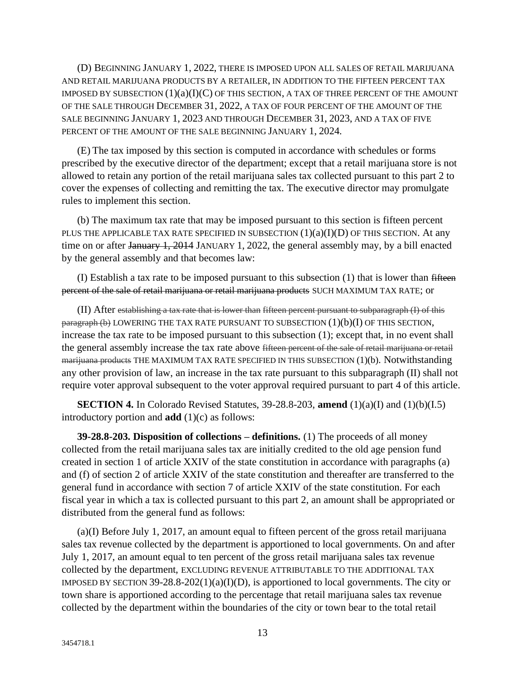(D) BEGINNING JANUARY 1, 2022, THERE IS IMPOSED UPON ALL SALES OF RETAIL MARIJUANA AND RETAIL MARIJUANA PRODUCTS BY A RETAILER, IN ADDITION TO THE FIFTEEN PERCENT TAX IMPOSED BY SUBSECTION  $(1)(a)(I)(C)$  OF THIS SECTION, A TAX OF THREE PERCENT OF THE AMOUNT OF THE SALE THROUGH DECEMBER 31, 2022, A TAX OF FOUR PERCENT OF THE AMOUNT OF THE SALE BEGINNING JANUARY 1, 2023 AND THROUGH DECEMBER 31, 2023, AND A TAX OF FIVE PERCENT OF THE AMOUNT OF THE SALE BEGINNING JANUARY 1, 2024.

(E) The tax imposed by this section is computed in accordance with schedules or forms prescribed by the executive director of the department; except that a retail marijuana store is not allowed to retain any portion of the retail marijuana sales tax collected pursuant to this part 2 to cover the expenses of collecting and remitting the tax. The executive director may promulgate rules to implement this section.

(b) The maximum tax rate that may be imposed pursuant to this section is fifteen percent PLUS THE APPLICABLE TAX RATE SPECIFIED IN SUBSECTION  $(1)(a)(I)(D)$  OF THIS SECTION. At any time on or after January 1, 2014 JANUARY 1, 2022, the general assembly may, by a bill enacted by the general assembly and that becomes law:

(I) Establish a tax rate to be imposed pursuant to this subsection  $(1)$  that is lower than fifteen percent of the sale of retail marijuana or retail marijuana products SUCH MAXIMUM TAX RATE; or

(II) After establishing a tax rate that is lower than fifteen percent pursuant to subparagraph (I) of this  $\frac{1}{100}$  paragraph (b) LOWERING THE TAX RATE PURSUANT TO SUBSECTION  $(1)(b)(I)$  OF THIS SECTION, increase the tax rate to be imposed pursuant to this subsection (1); except that, in no event shall the general assembly increase the tax rate above fifteen percent of the sale of retail marijuana or retail marijuana products THE MAXIMUM TAX RATE SPECIFIED IN THIS SUBSECTION (1)(b). Notwithstanding any other provision of law, an increase in the tax rate pursuant to this subparagraph (II) shall not require voter approval subsequent to the voter approval required pursuant to part 4 of this article.

**SECTION 4.** In Colorado Revised Statutes, 39-28.8-203, **amend** (1)(a)(I) and (1)(b)(I.5) introductory portion and **add** (1)(c) as follows:

**39-28.8-203. Disposition of collections – definitions.** (1) The proceeds of all money collected from the retail marijuana sales tax are initially credited to the old age pension fund created in section 1 of article XXIV of the state constitution in accordance with paragraphs (a) and (f) of section 2 of article XXIV of the state constitution and thereafter are transferred to the general fund in accordance with section 7 of article XXIV of the state constitution. For each fiscal year in which a tax is collected pursuant to this part 2, an amount shall be appropriated or distributed from the general fund as follows:

(a)(I) Before July 1, 2017, an amount equal to fifteen percent of the gross retail marijuana sales tax revenue collected by the department is apportioned to local governments. On and after July 1, 2017, an amount equal to ten percent of the gross retail marijuana sales tax revenue collected by the department, EXCLUDING REVENUE ATTRIBUTABLE TO THE ADDITIONAL TAX IMPOSED BY SECTION 39-28.8-202(1)(a)(I)(D), is apportioned to local governments. The city or town share is apportioned according to the percentage that retail marijuana sales tax revenue collected by the department within the boundaries of the city or town bear to the total retail